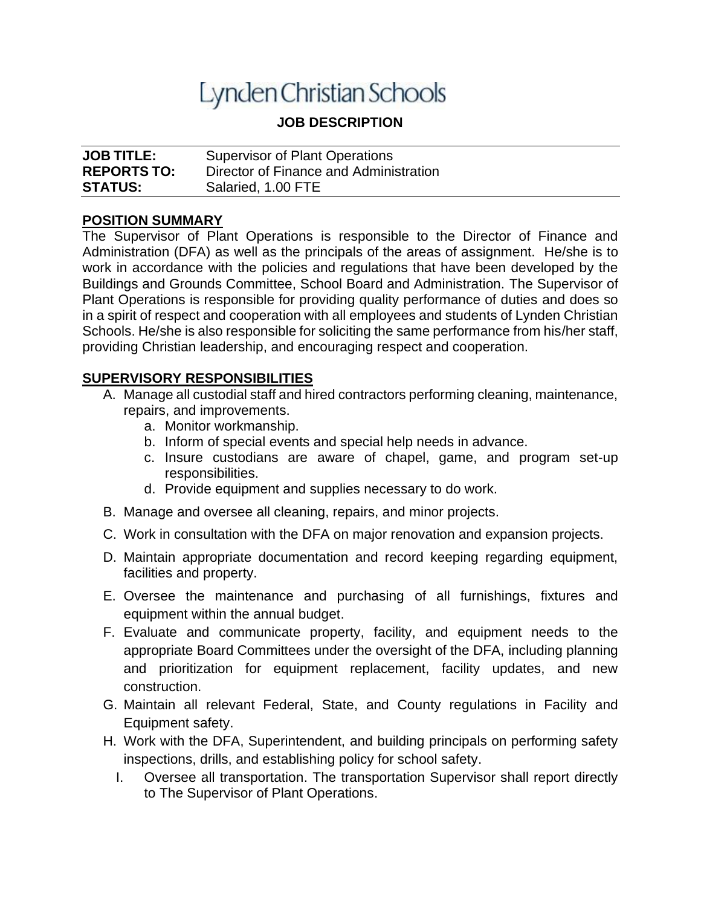# Lynden Christian Schools

## **JOB DESCRIPTION**

| <b>JOB TITLE:</b>  | <b>Supervisor of Plant Operations</b>  |
|--------------------|----------------------------------------|
| <b>REPORTS TO:</b> | Director of Finance and Administration |
| <b>STATUS:</b>     | Salaried, 1.00 FTE                     |

#### **POSITION SUMMARY**

The Supervisor of Plant Operations is responsible to the Director of Finance and Administration (DFA) as well as the principals of the areas of assignment. He/she is to work in accordance with the policies and regulations that have been developed by the Buildings and Grounds Committee, School Board and Administration. The Supervisor of Plant Operations is responsible for providing quality performance of duties and does so in a spirit of respect and cooperation with all employees and students of Lynden Christian Schools. He/she is also responsible for soliciting the same performance from his/her staff, providing Christian leadership, and encouraging respect and cooperation.

#### **SUPERVISORY RESPONSIBILITIES**

- A. Manage all custodial staff and hired contractors performing cleaning, maintenance, repairs, and improvements.
	- a. Monitor workmanship.
	- b. Inform of special events and special help needs in advance.
	- c. Insure custodians are aware of chapel, game, and program set-up responsibilities.
	- d. Provide equipment and supplies necessary to do work.
- B. Manage and oversee all cleaning, repairs, and minor projects.
- C. Work in consultation with the DFA on major renovation and expansion projects.
- D. Maintain appropriate documentation and record keeping regarding equipment, facilities and property.
- E. Oversee the maintenance and purchasing of all furnishings, fixtures and equipment within the annual budget.
- F. Evaluate and communicate property, facility, and equipment needs to the appropriate Board Committees under the oversight of the DFA, including planning and prioritization for equipment replacement, facility updates, and new construction.
- G. Maintain all relevant Federal, State, and County regulations in Facility and Equipment safety.
- H. Work with the DFA, Superintendent, and building principals on performing safety inspections, drills, and establishing policy for school safety.
	- I. Oversee all transportation. The transportation Supervisor shall report directly to The Supervisor of Plant Operations.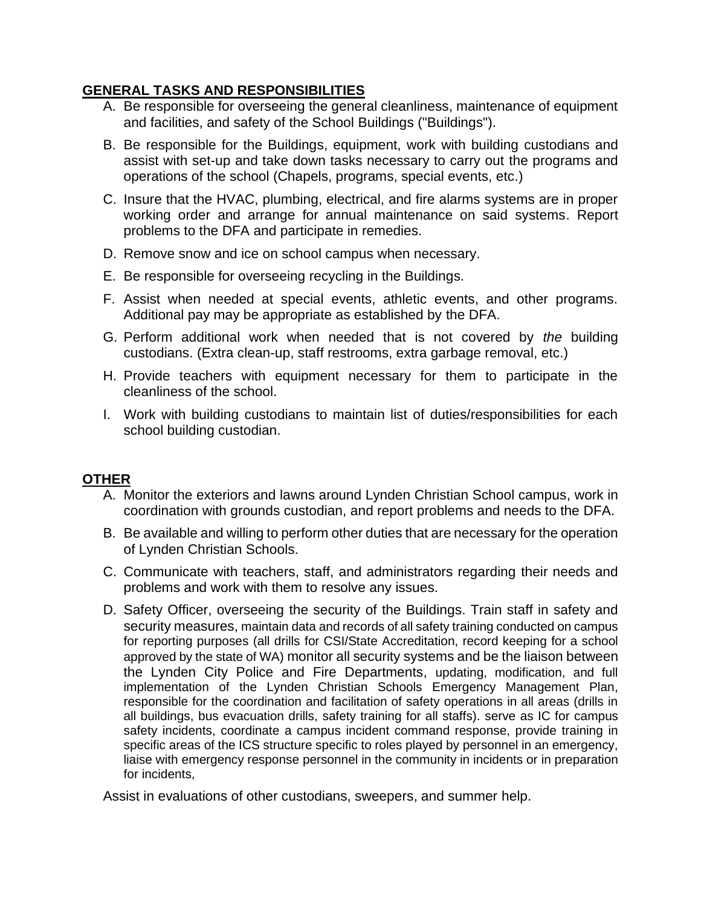### **GENERAL TASKS AND RESPONSIBILITIES**

- A. Be responsible for overseeing the general cleanliness, maintenance of equipment and facilities, and safety of the School Buildings ("Buildings").
- B. Be responsible for the Buildings, equipment, work with building custodians and assist with set-up and take down tasks necessary to carry out the programs and operations of the school (Chapels, programs, special events, etc.)
- C. Insure that the HVAC, plumbing, electrical, and fire alarms systems are in proper working order and arrange for annual maintenance on said systems. Report problems to the DFA and participate in remedies.
- D. Remove snow and ice on school campus when necessary.
- E. Be responsible for overseeing recycling in the Buildings.
- F. Assist when needed at special events, athletic events, and other programs. Additional pay may be appropriate as established by the DFA.
- G. Perform additional work when needed that is not covered by *the* building custodians. (Extra clean-up, staff restrooms, extra garbage removal, etc.)
- H. Provide teachers with equipment necessary for them to participate in the cleanliness of the school.
- I. Work with building custodians to maintain list of duties/responsibilities for each school building custodian.

#### **OTHER**

- A. Monitor the exteriors and lawns around Lynden Christian School campus, work in coordination with grounds custodian, and report problems and needs to the DFA.
- B. Be available and willing to perform other duties that are necessary for the operation of Lynden Christian Schools.
- C. Communicate with teachers, staff, and administrators regarding their needs and problems and work with them to resolve any issues.
- D. Safety Officer, overseeing the security of the Buildings. Train staff in safety and security measures, maintain data and records of all safety training conducted on campus for reporting purposes (all drills for CSI/State Accreditation, record keeping for a school approved by the state of WA) monitor all security systems and be the liaison between the Lynden City Police and Fire Departments, updating, modification, and full implementation of the Lynden Christian Schools Emergency Management Plan, responsible for the coordination and facilitation of safety operations in all areas (drills in all buildings, bus evacuation drills, safety training for all staffs). serve as IC for campus safety incidents, coordinate a campus incident command response, provide training in specific areas of the ICS structure specific to roles played by personnel in an emergency, liaise with emergency response personnel in the community in incidents or in preparation for incidents,

Assist in evaluations of other custodians, sweepers, and summer help.